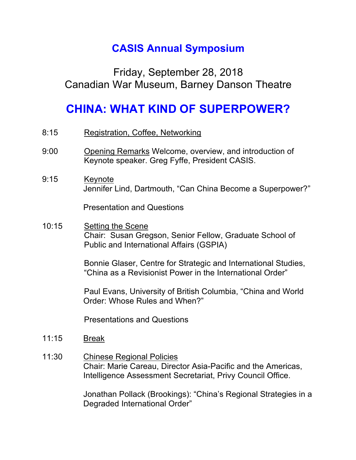## **CASIS Annual Symposium**

## Friday, September 28, 2018 Canadian War Museum, Barney Danson Theatre

## **CHINA: WHAT KIND OF SUPERPOWER?**

- 8:15 Registration, Coffee, Networking
- 9:00 Opening Remarks Welcome, overview, and introduction of Keynote speaker. Greg Fyffe, President CASIS.
- 9:15 Keynote Jennifer Lind, Dartmouth, "Can China Become a Superpower?"

Presentation and Questions

10:15 Setting the Scene Chair: Susan Gregson, Senior Fellow, Graduate School of Public and International Affairs (GSPIA)

> Bonnie Glaser, Centre for Strategic and International Studies, "China as a Revisionist Power in the International Order"

> Paul Evans, University of British Columbia, "China and World Order: Whose Rules and When?"

Presentations and Questions

- 11:15 Break
- 11:30 Chinese Regional Policies Chair: Marie Careau, Director Asia-Pacific and the Americas, Intelligence Assessment Secretariat, Privy Council Office.

Jonathan Pollack (Brookings): "China's Regional Strategies in a Degraded International Order"